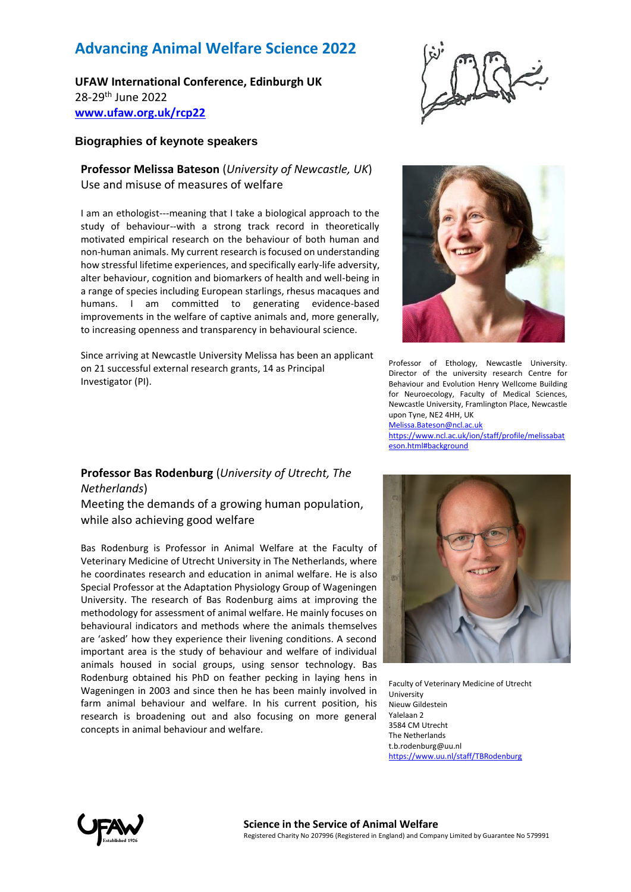# **Advancing Animal Welfare Science 2022**

**UFAW International Conference, Edinburgh UK** 28-29th June 2022 **[www.ufaw.org.uk/rcp22](http://www.ufaw.org.uk/rcp22)**

### **Biographies of keynote speakers**

## **Professor Melissa Bateson** (*University of Newcastle, UK*) Use and misuse of measures of welfare

I am an ethologist---meaning that I take a biological approach to the study of behaviour--with a strong track record in theoretically motivated empirical research on the behaviour of both human and non-human animals. My current research is focused on understanding how stressful lifetime experiences, and specifically early-life adversity, alter behaviour, cognition and biomarkers of health and well-being in a range of species including European starlings, rhesus macaques and humans. I am committed to generating evidence-based improvements in the welfare of captive animals and, more generally, to increasing openness and transparency in behavioural science.

Since arriving at Newcastle University Melissa has been an applicant on 21 successful external research grants, 14 as Principal Investigator (PI).





Professor of Ethology, Newcastle University. Director of the university research Centre for Behaviour and Evolution Henry Wellcome Building for Neuroecology, Faculty of Medical Sciences, Newcastle University, Framlington Place, Newcastle upon Tyne, NE2 4HH, UK Melissa.Bateson@ncl.ac.uk https://www.ncl.ac.uk/ion/staff/profile/melissabat eson.html#background

### **Professor Bas Rodenburg** (*University of Utrecht, The Netherlands*)

Meeting the demands of a growing human population, while also achieving good welfare

Bas Rodenburg is Professor in Animal Welfare at the Faculty of Veterinary Medicine of Utrecht University in The Netherlands, where he coordinates research and education in animal welfare. He is also Special Professor at the Adaptation Physiology Group of Wageningen University. The research of Bas Rodenburg aims at improving the methodology for assessment of animal welfare. He mainly focuses on behavioural indicators and methods where the animals themselves are 'asked' how they experience their livening conditions. A second important area is the study of behaviour and welfare of individual animals housed in social groups, using sensor technology. Bas Rodenburg obtained his PhD on feather pecking in laying hens in Wageningen in 2003 and since then he has been mainly involved in farm animal behaviour and welfare. In his current position, his research is broadening out and also focusing on more general concepts in animal behaviour and welfare.



Faculty of Veterinary Medicine of Utrecht University Nieuw Gildestein Yalelaan 2 3584 CM Utrecht The Netherlands t.b.rodenburg@uu.nl https://www.uu.nl/staff/TBRodenburg